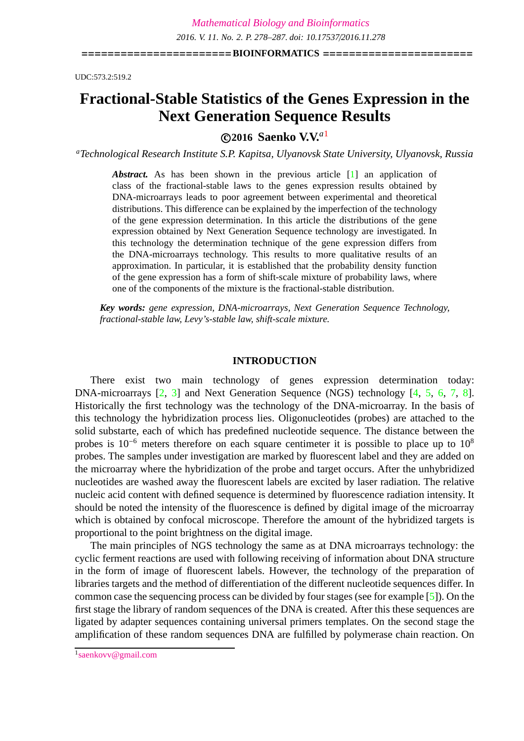=======================**BIOINFORMATICS** =======================

UDC:573.2:519.2

# **Fractional-Stable Statistics of the Genes Expression in the Next Generation Sequence Results**

# **c 2016 Saenko V.V.***<sup>a</sup>*<sup>1</sup>

*<sup>a</sup>Technological Research Institute S.P. Kapitsa, Ulyanovsk State University, Ulyanovsk, Russia*

*Abstract.* As has been shown in the previous article [\[1\]](#page-8-0) an application of class of the fractional-stable laws to the genes expression results obtained by DNA-microarrays leads to poor agreement between experimental and theoretical distributions. This difference can be explained by the imperfection of the technology of the gene expression determination. In this article the distributions of the gene expression obtained by Next Generation Sequence technology are investigated. In this technology the determination technique of the gene expression differs from the DNA-microarrays technology. This results to more qualitative results of an approximation. In particular, it is established that the probability density function of the gene expression has a form of shift-scale mixture of probability laws, where one of the components of the mixture is the fractional-stable distribution.

*Key words: gene expression, DNA-microarrays, Next Generation Sequence Technology, fractional-stable law, Levy's-stable law, shift-scale mixture.*

## **INTRODUCTION**

There exist two main technology of genes expression determination today: DNA-microarrays [\[2,](#page-8-1) [3\]](#page-8-2) and Next Generation Sequence (NGS) technology [\[4,](#page-8-3) [5,](#page-8-4) [6,](#page-8-5) [7,](#page-8-6) [8\]](#page-8-7). Historically the first technology was the technology of the DNA-microarray. In the basis of this technology the hybridization process lies. Oligonucleotides (probes) are attached to the solid substarte, each of which has predefined nucleotide sequence. The distance between the probes is  $10^{-6}$  meters therefore on each square centimeter it is possible to place up to  $10^8$ probes. The samples under investigation are marked by fluorescent label and they are added on the microarray where the hybridization of the probe and target occurs. After the unhybridized nucleotides are washed away the fluorescent labels are excited by laser radiation. The relative nucleic acid content with defined sequence is determined by fluorescence radiation intensity. It should be noted the intensity of the fluorescence is defined by digital image of the microarray which is obtained by confocal microscope. Therefore the amount of the hybridized targets is proportional to the point brightness on the digital image.

The main principles of NGS technology the same as at DNA microarrays technology: the cyclic ferment reactions are used with following receiving of information about DNA structure in the form of image of fluorescent labels. However, the technology of the preparation of libraries targets and the method of differentiation of the different nucleotide sequences differ. In common case the sequencing process can be divided by four stages (see for example [\[5\]](#page-8-4)). On the first stage the library of random sequences of the DNA is created. After this these sequences are ligated by adapter sequences containing universal primers templates. On the second stage the amplification of these random sequences DNA are fulfilled by polymerase chain reaction. On

<sup>1</sup> [saenkovv@gmail.com](mailto:Saenko V.V.)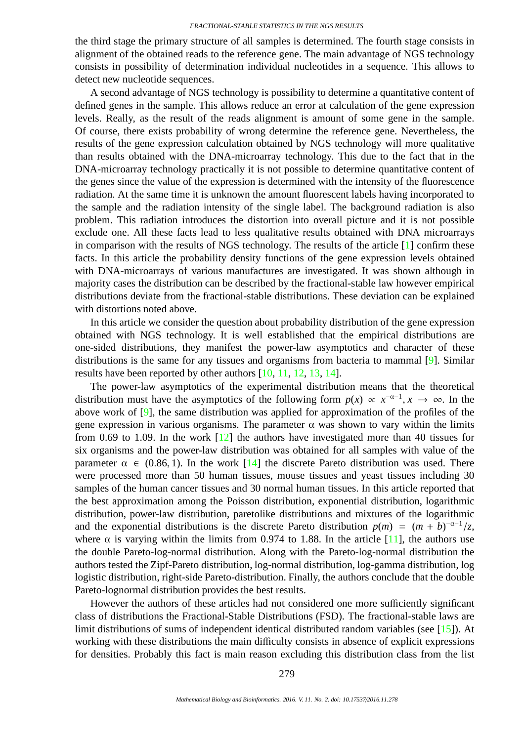the third stage the primary structure of all samples is determined. The fourth stage consists in alignment of the obtained reads to the reference gene. The main advantage of NGS technology consists in possibility of determination individual nucleotides in a sequence. This allows to detect new nucleotide sequences.

A second advantage of NGS technology is possibility to determine a quantitative content of defined genes in the sample. This allows reduce an error at calculation of the gene expression levels. Really, as the result of the reads alignment is amount of some gene in the sample. Of course, there exists probability of wrong determine the reference gene. Nevertheless, the results of the gene expression calculation obtained by NGS technology will more qualitative than results obtained with the DNA-microarray technology. This due to the fact that in the DNA-microarray technology practically it is not possible to determine quantitative content of the genes since the value of the expression is determined with the intensity of the fluorescence radiation. At the same time it is unknown the amount fluorescent labels having incorporated to the sample and the radiation intensity of the single label. The background radiation is also problem. This radiation introduces the distortion into overall picture and it is not possible exclude one. All these facts lead to less qualitative results obtained with DNA microarrays in comparison with the results of NGS technology. The results of the article [\[1\]](#page-8-0) confirm these facts. In this article the probability density functions of the gene expression levels obtained with DNA-microarrays of various manufactures are investigated. It was shown although in majority cases the distribution can be described by the fractional-stable law however empirical distributions deviate from the fractional-stable distributions. These deviation can be explained with distortions noted above.

In this article we consider the question about probability distribution of the gene expression obtained with NGS technology. It is well established that the empirical distributions are one-sided distributions, they manifest the power-law asymptotics and character of these distributions is the same for any tissues and organisms from bacteria to mammal [\[9\]](#page-8-8). Similar results have been reported by other authors [\[10,](#page-8-9) [11,](#page-8-10) [12,](#page-8-11) [13,](#page-8-12) [14\]](#page-8-13).

The power-law asymptotics of the experimental distribution means that the theoretical distribution must have the asymptotics of the following form  $p(x) \propto x^{-\alpha-1}$ ,  $x \to \infty$ . In the above work of [\[9\]](#page-8-8), the same distribution was applied for approximation of the profiles of the gene expression in various organisms. The parameter  $\alpha$  was shown to vary within the limits from 0.69 to 1.09. In the work  $\lceil 12 \rceil$  the authors have investigated more than 40 tissues for six organisms and the power-law distribution was obtained for all samples with value of the parameter  $\alpha \in (0.86, 1)$ . In the work [\[14\]](#page-8-13) the discrete Pareto distribution was used. There were processed more than 50 human tissues, mouse tissues and yeast tissues including 30 samples of the human cancer tissues and 30 normal human tissues. In this article reported that the best approximation among the Poisson distribution, exponential distribution, logarithmic distribution, power-law distribution, paretolike distributions and mixtures of the logarithmic and the exponential distributions is the discrete Pareto distribution  $p(m) = (m + b)^{-\alpha-1}/z$ , where  $\alpha$  is varying within the limits from 0.974 to 1.88. In the article [\[11\]](#page-8-10), the authors use the double Pareto-log-normal distribution. Along with the Pareto-log-normal distribution the authors tested the Zipf-Pareto distribution, log-normal distribution, log-gamma distribution, log logistic distribution, right-side Pareto-distribution. Finally, the authors conclude that the double Pareto-lognormal distribution provides the best results.

However the authors of these articles had not considered one more sufficiently significant class of distributions the Fractional-Stable Distributions (FSD). The fractional-stable laws are limit distributions of sums of independent identical distributed random variables (see [\[15\]](#page-9-0)). At working with these distributions the main difficulty consists in absence of explicit expressions for densities. Probably this fact is main reason excluding this distribution class from the list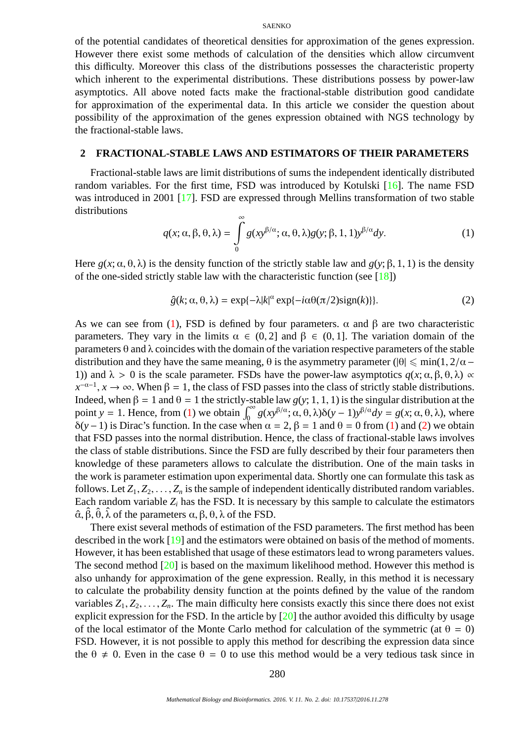#### SAENKO

of the potential candidates of theoretical densities for approximation of the genes expression. However there exist some methods of calculation of the densities which allow circumvent this difficulty. Moreover this class of the distributions possesses the characteristic property which inherent to the experimental distributions. These distributions possess by power-law asymptotics. All above noted facts make the fractional-stable distribution good candidate for approximation of the experimental data. In this article we consider the question about possibility of the approximation of the genes expression obtained with NGS technology by the fractional-stable laws.

## **2 FRACTIONAL-STABLE LAWS AND ESTIMATORS OF THEIR PARAMETERS**

Fractional-stable laws are limit distributions of sums the independent identically distributed random variables. For the first time, FSD was introduced by Kotulski [\[16\]](#page-9-1). The name FSD was introduced in 2001 [\[17\]](#page-9-2). FSD are expressed through Mellins transformation of two stable distributions

<span id="page-2-0"></span>
$$
q(x; \alpha, \beta, \theta, \lambda) = \int_{0}^{\infty} g(xy^{\beta/\alpha}; \alpha, \theta, \lambda) g(y; \beta, 1, 1) y^{\beta/\alpha} dy.
$$
 (1)

Here  $g(x; \alpha, \theta, \lambda)$  is the density function of the strictly stable law and  $g(y; \beta, 1, 1)$  is the density of the one-sided strictly stable law with the characteristic function (see [\[18\]](#page-9-3))

<span id="page-2-1"></span>
$$
\hat{g}(k; \alpha, \theta, \lambda) = \exp\{-\lambda |k|^{\alpha} \exp\{-i\alpha\theta(\pi/2)\text{sign}(k)\}\}.
$$
 (2)

As we can see from [\(1\)](#page-2-0), FSD is defined by four parameters.  $\alpha$  and  $\beta$  are two characteristic parameters. They vary in the limits  $\alpha \in (0, 2]$  and  $\beta \in (0, 1]$ . The variation domain of the parameters θ and λ coincides with the domain of the variation respective parameters of the stable distribution and they have the same meaning,  $\theta$  is the asymmetry parameter ( $|\theta| \leq \min(1, 2/\alpha -$ 1)) and  $\lambda > 0$  is the scale parameter. FSDs have the power-law asymptotics  $q(x; \alpha, \beta, \theta, \lambda) \propto$  $x^{-\alpha-1}$ ,  $x \to \infty$ . When  $\beta = 1$ , the class of FSD passes into the class of strictly stable distributions. Indeed, when  $\beta = 1$  and  $\theta = 1$  the strictly-stable law *g*(*y*; 1, 1, 1) is the singular distribution at the point  $y = 1$ . Hence, from [\(1\)](#page-2-0) we obtain  $\int_0^\infty g(xy^{\beta/\alpha}; \alpha, \theta, \lambda) \delta(y - 1) y^{\beta/\alpha} dy = g(x; \alpha, \theta, \lambda)$ , where δ(*y*−1) is Dirac's function. In the case when α = 2, β = 1 and θ = 0 from [\(1\)](#page-2-0) and [\(2\)](#page-2-1) we obtain that FSD passes into the normal distribution. Hence, the class of fractional-stable laws involves the class of stable distributions. Since the FSD are fully described by their four parameters then knowledge of these parameters allows to calculate the distribution. One of the main tasks in the work is parameter estimation upon experimental data. Shortly one can formulate this task as follows. Let  $Z_1, Z_2, \ldots, Z_n$  is the sample of independent identically distributed random variables. Each random variable  $Z_i$  has the FSD. It is necessary by this sample to calculate the estimators  $\hat{\alpha}, \hat{\beta}, \hat{\theta}, \hat{\lambda}$  of the parameters  $\alpha, \beta, \theta, \lambda$  of the FSD.

There exist several methods of estimation of the FSD parameters. The first method has been described in the work [\[19\]](#page-9-4) and the estimators were obtained on basis of the method of moments. However, it has been established that usage of these estimators lead to wrong parameters values. The second method  $[20]$  is based on the maximum likelihood method. However this method is also unhandy for approximation of the gene expression. Really, in this method it is necessary to calculate the probability density function at the points defined by the value of the random variables  $Z_1, Z_2, \ldots, Z_n$ . The main difficulty here consists exactly this since there does not exist explicit expression for the FSD. In the article by  $[20]$  the author avoided this difficulty by usage of the local estimator of the Monte Carlo method for calculation of the symmetric (at  $\theta = 0$ ) FSD. However, it is not possible to apply this method for describing the expression data since the  $\theta \neq 0$ . Even in the case  $\theta = 0$  to use this method would be a very tedious task since in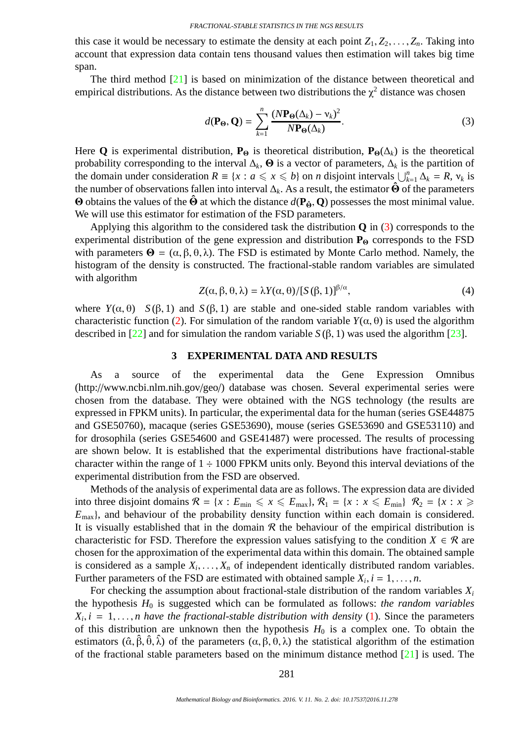this case it would be necessary to estimate the density at each point  $Z_1, Z_2, \ldots, Z_n$ . Taking into account that expression data contain tens thousand values then estimation will takes big time span.

The third method [\[21\]](#page-9-6) is based on minimization of the distance between theoretical and empirical distributions. As the distance between two distributions the  $\chi^2$  distance was chosen

<span id="page-3-0"></span>
$$
d(\mathbf{P}_{\Theta}, \mathbf{Q}) = \sum_{k=1}^{n} \frac{(N \mathbf{P}_{\Theta}(\Delta_k) - \mathbf{v}_k)^2}{N \mathbf{P}_{\Theta}(\Delta_k)}.
$$
 (3)

Here **Q** is experimental distribution, **P**<sub>Θ</sub> is theoretical distribution, **P**<sub>Θ</sub>( $\Delta_k$ ) is the theoretical probability corresponding to the interval  $\Delta_k$ ,  $\Theta$  is a vector of parameters,  $\Delta_k$  is the partition of the domain under consideration  $R \equiv \{x : a \leq x \leq b\}$  on *n* disjoint intervals  $\bigcup_{k=1}^{n} \Delta_k = R$ ,  $v_k$  is the number of observations fallen into interval  $\Delta_k$ . As a result, the estimator  $\hat{\Theta}$  of the parameters Θ obtains the values of the Θ at which the distance  $d(\mathbf{P}_{\hat{\theta}}, \mathbf{Q})$  possesses the most minimal value. We will use this estimator for estimation of the FSD parameters.

Applying this algorithm to the considered task the distribution **Q** in [\(3\)](#page-3-0) corresponds to the experimental distribution of the gene expression and distribution **P**Θ corresponds to the FSD with parameters  $\mathbf{\Theta} = (\alpha, \beta, \theta, \lambda)$ . The FSD is estimated by Monte Carlo method. Namely, the histogram of the density is constructed. The fractional-stable random variables are simulated with algorithm

$$
Z(\alpha, \beta, \theta, \lambda) = \lambda Y(\alpha, \theta) / [S(\beta, 1)]^{\beta/\alpha},\tag{4}
$$

where  $Y(\alpha, \theta)$   $S(\beta, 1)$  and  $S(\beta, 1)$  are stable and one-sided stable random variables with characteristic function [\(2\)](#page-2-1). For simulation of the random variable  $Y(\alpha, \theta)$  is used the algorithm described in  $[22]$  and for simulation the random variable  $S(\beta, 1)$  was used the algorithm  $[23]$ .

### **3 EXPERIMENTAL DATA AND RESULTS**

As a source of the experimental data the Gene Expression Omnibus (http://www.ncbi.nlm.nih.gov/geo/) database was chosen. Several experimental series were chosen from the database. They were obtained with the NGS technology (the results are expressed in FPKM units). In particular, the experimental data for the human (series GSE44875 and GSE50760), macaque (series GSE53690), mouse (series GSE53690 and GSE53110) and for drosophila (series GSE54600 and GSE41487) were processed. The results of processing are shown below. It is established that the experimental distributions have fractional-stable character within the range of  $1 \div 1000$  FPKM units only. Beyond this interval deviations of the experimental distribution from the FSD are observed.

Methods of the analysis of experimental data are as follows. The expression data are divided into three disjoint domains  $\mathcal{R} = \{x : E_{\text{min}} \leq x \leq E_{\text{max}}\}, \mathcal{R}_1 = \{x : x \leq E_{\text{min}}\} \mathcal{R}_2 = \{x : x \geq 0\}$  $E_{\text{max}}$ , and behaviour of the probability density function within each domain is considered. It is visually established that in the domain  $R$  the behaviour of the empirical distribution is characteristic for FSD. Therefore the expression values satisfying to the condition  $X \in \mathcal{R}$  are chosen for the approximation of the experimental data within this domain. The obtained sample is considered as a sample  $X_i, \ldots, X_n$  of independent identically distributed random variables. Further parameters of the FSD are estimated with obtained sample  $X_i$ ,  $i = 1, \ldots, n$ .

For checking the assumption about fractional-stale distribution of the random variables *X<sup>i</sup>* the hypothesis  $H_0$  is suggested which can be formulated as follows: *the random variables*  $X_i$ ,  $i = 1, \ldots, n$  have the fractional-stable distribution with density [\(1\)](#page-2-0). Since the parameters of this distribution are unknown then the hypothesis  $H_0$  is a complex one. To obtain the estimators  $(\hat{\alpha}, \hat{\beta}, \hat{\theta}, \hat{\lambda})$  of the parameters  $(\alpha, \beta, \theta, \lambda)$  the statistical algorithm of the estimation of the fractional stable parameters based on the minimum distance method  $[21]$  is used. The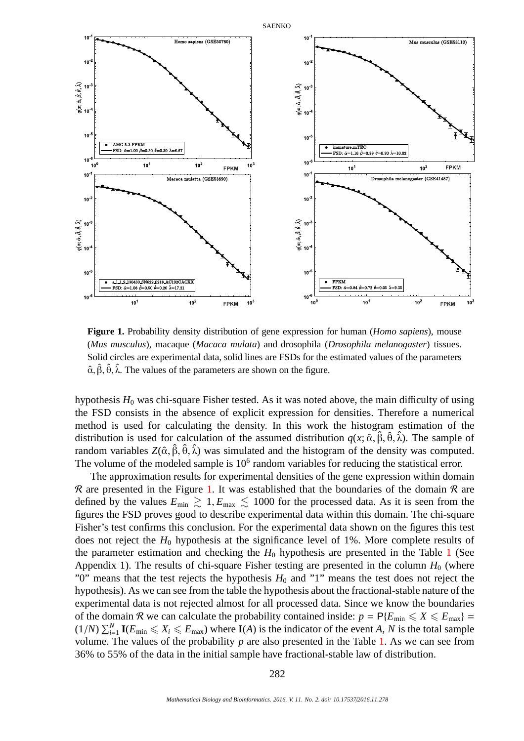<span id="page-4-0"></span>

**Figure 1.** Probability density distribution of gene expression for human (*Homo sapiens*), mouse (*Mus musculus*), macaque (*Macaca mulata*) and drosophila (*Drosophila melanogaster*) tissues. Solid circles are experimental data, solid lines are FSDs for the estimated values of the parameters  $\hat{\alpha}, \hat{\beta}, \hat{\theta}, \hat{\lambda}$ . The values of the parameters are shown on the figure.

hypothesis  $H_0$  was chi-square Fisher tested. As it was noted above, the main difficulty of using the FSD consists in the absence of explicit expression for densities. Therefore a numerical method is used for calculating the density. In this work the histogram estimation of the distribution is used for calculation of the assumed distribution  $q(x; \hat{\alpha}, \hat{\beta}, \hat{\theta}, \hat{\lambda})$ . The sample of random variables  $Z(\hat{\alpha}, \hat{\beta}, \hat{\theta}, \hat{\lambda})$  was simulated and the histogram of the density was computed. The volume of the modeled sample is  $10<sup>6</sup>$  random variables for reducing the statistical error.

The approximation results for experimental densities of the gene expression within domain R are presented in the Figure [1.](#page-4-0) It was established that the boundaries of the domain R are defined by the values  $E_{\text{min}} \gtrsim 1, E_{\text{max}} \lesssim 1000$  for the processed data. As it is seen from the figures the FSD proves good to describe experimental data within this domain. The chi-square Fisher's test confirms this conclusion. For the experimental data shown on the figures this test does not reject the  $H_0$  hypothesis at the significance level of 1%. More complete results of the parameter estimation and checking the  $H_0$  hypothesis are presented in the Table [1](#page-7-0) (See Appendix 1). The results of chi-square Fisher testing are presented in the column  $H_0$  (where "0" means that the test rejects the hypothesis  $H_0$  and "1" means the test does not reject the hypothesis). As we can see from the table the hypothesis about the fractional-stable nature of the experimental data is not rejected almost for all processed data. Since we know the boundaries of the domain R we can calculate the probability contained inside:  $p = P\{E_{\min} \le X \le E_{\max}\}=$  $(1/N)$   $\sum_{i=1}^{N}$  **I**( $E_{\text{min}} \leq X_i \leq E_{\text{max}}$ ) where **I**(*A*) is the indicator of the event *A*, *N* is the total sample volume. The values of the probability  $p$  are also presented in the Table [1.](#page-7-0) As we can see from 36% to 55% of the data in the initial sample have fractional-stable law of distribution.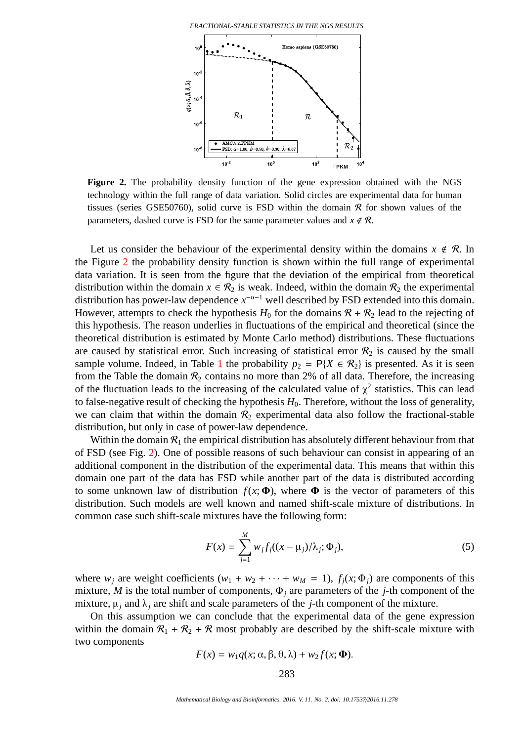

<span id="page-5-0"></span>

**Figure 2.** The probability density function of the gene expression obtained with the NGS technology within the full range of data variation. Solid circles are experimental data for human tissues (series GSE50760), solid curve is FSD within the domain  $\mathcal R$  for shown values of the parameters, dashed curve is FSD for the same parameter values and  $x \notin \mathcal{R}$ .

Let us consider the behaviour of the experimental density within the domains  $x \notin \mathcal{R}$ . In the Figure [2](#page-5-0) the probability density function is shown within the full range of experimental data variation. It is seen from the figure that the deviation of the empirical from theoretical distribution within the domain  $x \in \mathcal{R}_2$  is weak. Indeed, within the domain  $\mathcal{R}_2$  the experimental distribution has power-law dependence  $x^{-\alpha-1}$  well described by FSD extended into this domain. However, attempts to check the hypothesis  $H_0$  for the domains  $\mathcal{R} + \mathcal{R}_2$  lead to the rejecting of this hypothesis. The reason underlies in fluctuations of the empirical and theoretical (since the theoretical distribution is estimated by Monte Carlo method) distributions. These fluctuations are caused by statistical error. Such increasing of statistical error  $\mathcal{R}_2$  is caused by the small sample volume. Indeed, in Table [1](#page-7-0) the probability  $p_2 = P{X \in \mathcal{R}_2}$  is presented. As it is seen from the Table the domain  $\mathcal{R}_2$  contains no more than 2% of all data. Therefore, the increasing of the fluctuation leads to the increasing of the calculated value of  $\chi^2$  statistics. This can lead to false-negative result of checking the hypothesis  $H_0$ . Therefore, without the loss of generality, we can claim that within the domain  $\mathcal{R}_2$  experimental data also follow the fractional-stable distribution, but only in case of power-law dependence.

Within the domain  $\mathcal{R}_1$  the empirical distribution has absolutely different behaviour from that of FSD (see Fig. [2\)](#page-5-0). One of possible reasons of such behaviour can consist in appearing of an additional component in the distribution of the experimental data. This means that within this domain one part of the data has FSD while another part of the data is distributed according to some unknown law of distribution  $f(x; \Phi)$ , where  $\Phi$  is the vector of parameters of this distribution. Such models are well known and named shift-scale mixture of distributions. In common case such shift-scale mixtures have the following form:

<span id="page-5-1"></span>
$$
F(x) = \sum_{j=1}^{M} w_j f_j((x - \mu_j)/\lambda_j; \Phi_j),
$$
\n(5)

where  $w_i$  are weight coefficients  $(w_1 + w_2 + \cdots + w_M = 1)$ ,  $f_i(x; \Phi_i)$  are components of this mixture, *M* is the total number of components, Φ*<sup>j</sup>* are parameters of the *j*-th component of the mixture,  $\mu_i$  and  $\lambda_j$  are shift and scale parameters of the *j*-th component of the mixture.

On this assumption we can conclude that the experimental data of the gene expression within the domain  $\mathcal{R}_1 + \mathcal{R}_2 + \mathcal{R}$  most probably are described by the shift-scale mixture with two components

$$
F(x) = w_1 q(x; \alpha, \beta, \theta, \lambda) + w_2 f(x; \Phi).
$$

283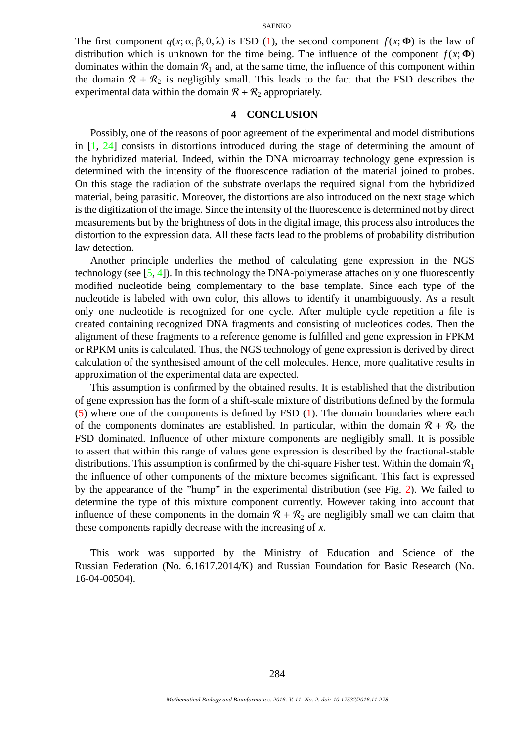#### **SAENKO**

The first component  $q(x; \alpha, \beta, \theta, \lambda)$  is FSD [\(1\)](#page-2-0), the second component  $f(x; \Phi)$  is the law of distribution which is unknown for the time being. The influence of the component  $f(x; \Phi)$ dominates within the domain  $\mathcal{R}_1$  and, at the same time, the influence of this component within the domain  $\mathcal{R} + \mathcal{R}_2$  is negligibly small. This leads to the fact that the FSD describes the experimental data within the domain  $\mathcal{R} + \mathcal{R}_2$  appropriately.

# **4 CONCLUSION**

Possibly, one of the reasons of poor agreement of the experimental and model distributions in [\[1,](#page-8-0) [24\]](#page-9-9) consists in distortions introduced during the stage of determining the amount of the hybridized material. Indeed, within the DNA microarray technology gene expression is determined with the intensity of the fluorescence radiation of the material joined to probes. On this stage the radiation of the substrate overlaps the required signal from the hybridized material, being parasitic. Moreover, the distortions are also introduced on the next stage which is the digitization of the image. Since the intensity of the fluorescence is determined not by direct measurements but by the brightness of dots in the digital image, this process also introduces the distortion to the expression data. All these facts lead to the problems of probability distribution law detection.

Another principle underlies the method of calculating gene expression in the NGS technology (see  $[5, 4]$  $[5, 4]$  $[5, 4]$ ). In this technology the DNA-polymerase attaches only one fluorescently modified nucleotide being complementary to the base template. Since each type of the nucleotide is labeled with own color, this allows to identify it unambiguously. As a result only one nucleotide is recognized for one cycle. After multiple cycle repetition a file is created containing recognized DNA fragments and consisting of nucleotides codes. Then the alignment of these fragments to a reference genome is fulfilled and gene expression in FPKM or RPKM units is calculated. Thus, the NGS technology of gene expression is derived by direct calculation of the synthesised amount of the cell molecules. Hence, more qualitative results in approximation of the experimental data are expected.

This assumption is confirmed by the obtained results. It is established that the distribution of gene expression has the form of a shift-scale mixture of distributions defined by the formula  $(5)$  where one of the components is defined by FSD  $(1)$ . The domain boundaries where each of the components dominates are established. In particular, within the domain  $\mathcal{R} + \mathcal{R}_2$  the FSD dominated. Influence of other mixture components are negligibly small. It is possible to assert that within this range of values gene expression is described by the fractional-stable distributions. This assumption is confirmed by the chi-square Fisher test. Within the domain  $\mathcal{R}_1$ the influence of other components of the mixture becomes significant. This fact is expressed by the appearance of the "hump" in the experimental distribution (see Fig. [2\)](#page-5-0). We failed to determine the type of this mixture component currently. However taking into account that influence of these components in the domain  $\mathcal{R} + \mathcal{R}_2$  are negligibly small we can claim that these components rapidly decrease with the increasing of *x*.

This work was supported by the Ministry of Education and Science of the Russian Federation (No. 6.1617.2014/K) and Russian Foundation for Basic Research (No. 16-04-00504).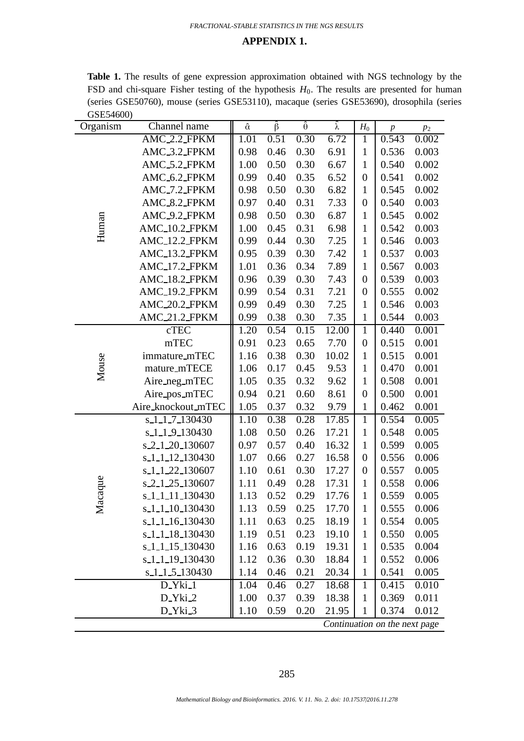# **APPENDIX 1.**

<span id="page-7-0"></span>**Table 1.** The results of gene expression approximation obtained with NGS technology by the FSD and chi-square Fisher testing of the hypothesis  $H_0$ . The results are presented for human (series GSE50760), mouse (series GSE53110), macaque (series GSE53690), drosophila (series GSE54600)

| Organism                      | Channel name                          | $\hat{\alpha}$ | β    | $\hat{\theta}$ | ĥ     | $\mathcal{H}_0$  | $\boldsymbol{p}$ | $p_{\rm 2}$ |  |
|-------------------------------|---------------------------------------|----------------|------|----------------|-------|------------------|------------------|-------------|--|
| Human                         | AMC_2.2_FPKM                          | 1.01           | 0.51 | 0.30           | 6.72  | $\mathbf{1}$     | 0.543            | 0.002       |  |
|                               | AMC_3.2_FPKM                          | 0.98           | 0.46 | 0.30           | 6.91  | 1                | 0.536            | 0.003       |  |
|                               | AMC_5.2_FPKM                          | 1.00           | 0.50 | 0.30           | 6.67  | $\mathbf{1}$     | 0.540            | 0.002       |  |
|                               | AMC_6.2_FPKM                          | 0.99           | 0.40 | 0.35           | 6.52  | $\boldsymbol{0}$ | 0.541            | 0.002       |  |
|                               | AMC_7.2_FPKM                          | 0.98           | 0.50 | 0.30           | 6.82  | $\mathbf{1}$     | 0.545            | 0.002       |  |
|                               | AMC_8.2_FPKM                          | 0.97           | 0.40 | 0.31           | 7.33  | $\boldsymbol{0}$ | 0.540            | 0.003       |  |
|                               | AMC_9.2_FPKM                          | 0.98           | 0.50 | 0.30           | 6.87  | 1                | 0.545            | 0.002       |  |
|                               | AMC_10.2_FPKM                         | 1.00           | 0.45 | 0.31           | 6.98  | $\mathbf{1}$     | 0.542            | 0.003       |  |
|                               | AMC <sub>12.2</sub> FPKM              | 0.99           | 0.44 | 0.30           | 7.25  | $\mathbf{1}$     | 0.546            | 0.003       |  |
|                               | AMC_13.2_FPKM                         | 0.95           | 0.39 | 0.30           | 7.42  | $\mathbf{1}$     | 0.537            | 0.003       |  |
|                               | AMC_17.2_FPKM                         | 1.01           | 0.36 | 0.34           | 7.89  | $\mathbf{1}$     | 0.567            | 0.003       |  |
|                               | AMC_18.2_FPKM                         | 0.96           | 0.39 | 0.30           | 7.43  | $\boldsymbol{0}$ | 0.539            | 0.003       |  |
|                               | AMC_19.2_FPKM                         | 0.99           | 0.54 | 0.31           | 7.21  | $\boldsymbol{0}$ | 0.555            | 0.002       |  |
|                               | AMC_20.2_FPKM                         | 0.99           | 0.49 | 0.30           | 7.25  | $\mathbf{1}$     | 0.546            | 0.003       |  |
|                               | AMC_21.2_FPKM                         | 0.99           | 0.38 | 0.30           | 7.35  | $\mathbf{1}$     | 0.544            | 0.003       |  |
|                               | cTEC                                  | 1.20           | 0.54 | 0.15           | 12.00 | $\mathbf{1}$     | 0.440            | 0.001       |  |
|                               | mTEC                                  | 0.91           | 0.23 | 0.65           | 7.70  | $\boldsymbol{0}$ | 0.515            | 0.001       |  |
|                               | immature_mTEC                         | 1.16           | 0.38 | 0.30           | 10.02 | $\mathbf{1}$     | 0.515            | 0.001       |  |
| Mouse                         | mature_mTECE                          | 1.06           | 0.17 | 0.45           | 9.53  | $\mathbf{1}$     | 0.470            | 0.001       |  |
|                               | Aire_neg_mTEC                         | 1.05           | 0.35 | 0.32           | 9.62  | $\mathbf{1}$     | 0.508            | 0.001       |  |
|                               | Aire_pos_mTEC                         | 0.94           | 0.21 | 0.60           | 8.61  | $\boldsymbol{0}$ | 0.500            | 0.001       |  |
|                               | Aire_knockout_mTEC                    | 1.05           | 0.37 | 0.32           | 9.79  | $\mathbf{1}$     | 0.462            | 0.001       |  |
|                               | s_1_1_7_130430                        | 1.10           | 0.38 | 0.28           | 17.85 | $\mathbf{1}$     | 0.554            | 0.005       |  |
|                               | s <sub>119</sub> 130430               | 1.08           | 0.50 | 0.26           | 17.21 | $\mathbf{1}$     | 0.548            | 0.005       |  |
|                               | s 2 1 20 130607                       | 0.97           | 0.57 | 0.40           | 16.32 | $\mathbf{1}$     | 0.599            | 0.005       |  |
|                               | s <sub>11112</sub> 130430             | 1.07           | 0.66 | 0.27           | 16.58 | $\boldsymbol{0}$ | 0.556            | 0.006       |  |
|                               | s_1_1_22_130607                       | 1.10           | 0.61 | 0.30           | 17.27 | $\boldsymbol{0}$ | 0.557            | 0.005       |  |
| Macaque                       | s 2 1 25 130607                       | 1.11           | 0.49 | 0.28           | 17.31 | $\mathbf{1}$     | 0.558            | 0.006       |  |
|                               | s_1_1_11_130430                       | 1.13           | 0.52 | 0.29           | 17.76 | $\mathbf{1}$     | 0.559            | 0.005       |  |
|                               | s_1_1_10_130430                       | 1.13           | 0.59 | 0.25           | 17.70 | $\mathbf{1}$     | 0.555            | 0.006       |  |
|                               | s_1_1_16_130430                       | 1.11           | 0.63 | 0.25           | 18.19 | $\mathbf{1}$     | 0.554            | 0.005       |  |
|                               | s <sub>111</sub> 18 <sub>130430</sub> | 1.19           | 0.51 | 0.23           | 19.10 | $\mathbf{1}$     | 0.550            | 0.005       |  |
|                               | s <sub>11115</sub> 130430             | 1.16           | 0.63 | 0.19           | 19.31 | $\mathbf{1}$     | 0.535            | 0.004       |  |
|                               | s <sub>111</sub> 19 <sub>130430</sub> | 1.12           | 0.36 | 0.30           | 18.84 | $\mathbf{1}$     | 0.552            | 0.006       |  |
|                               | s <sub>115</sub> 130430               | 1.14           | 0.46 | 0.21           | 20.34 | $\mathbf{1}$     | 0.541            | 0.005       |  |
|                               | $D$ Yki $1$                           | 1.04           | 0.46 | 0.27           | 18.68 | $\mathbf{1}$     | 0.415            | 0.010       |  |
|                               | D_Yki_2                               | 1.00           | 0.37 | 0.39           | 18.38 | $\mathbf{1}$     | 0.369            | 0.011       |  |
|                               | D_Yki_3                               | 1.10           | 0.59 | 0.20           | 21.95 | $\mathbf{1}$     | 0.374            | 0.012       |  |
| Continuation on the next page |                                       |                |      |                |       |                  |                  |             |  |

#### 285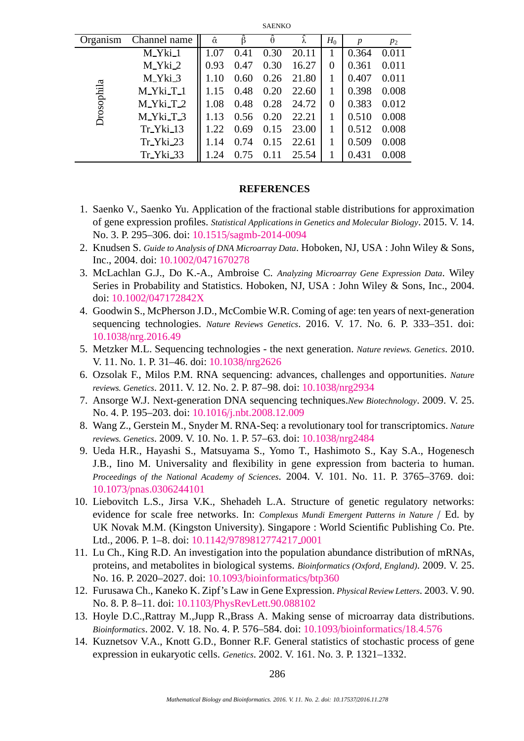| Organism   | Channel name | $\hat{\alpha}$ | Ŝ    | Ô               |       | $H_0$ | p     | $p_2$ |  |  |
|------------|--------------|----------------|------|-----------------|-------|-------|-------|-------|--|--|
| Drosophila | M_Yki_1      | 1.07           | 0.41 | 0.30            | 20.11 |       | 0.364 | 0.011 |  |  |
|            | M_Yki_2      | 0.93           | 0.47 | 0.30            | 16.27 | 0     | 0.361 | 0.011 |  |  |
|            | $M_Yki_3$    | 1.10           | 0.60 | 0.26            | 21.80 |       | 0.407 | 0.011 |  |  |
|            | $M_Yki_T_1$  | 1.15           | 0.48 | 0.20            | 22.60 |       | 0.398 | 0.008 |  |  |
|            | $M_Yki_T_2$  | 1.08           | 0.48 | 0.28            | 24.72 | 0     | 0.383 | 0.012 |  |  |
|            | M_Yki_T_3    | 1.13           | 0.56 | 0.20            | 22.21 |       | 0.510 | 0.008 |  |  |
|            | $Tr_Yki_13$  | 1.22.          | 0.69 | 0.15            | 23.00 |       | 0.512 | 0.008 |  |  |
|            | $Tr$ Yki 23  | 1.14           | 0.74 | 0.15            | 22.61 |       | 0.509 | 0.008 |  |  |
|            | $Tr_Yki_33$  | 1.24           | 0.75 | .11<br>$\theta$ | 25.54 |       | 0.431 | 0.008 |  |  |

### **REFERENCES**

**SAENKO** 

- <span id="page-8-0"></span>1. Saenko V., Saenko Yu. Application of the fractional stable distributions for approximation of gene expression profiles. *Statistical Applications in Genetics and Molecular Biology*. 2015. V. 14. No. 3. P. 295–306. doi: 10.1515/[sagmb-2014-0094](https://doi.org/10.1515/sagmb-2014-0094)
- <span id="page-8-2"></span><span id="page-8-1"></span>2. Knudsen S. *Guide to Analysis of DNA Microarray Data*. Hoboken, NJ, USA : John Wiley & Sons, Inc., 2004. doi: 10.1002/[0471670278](https://doi.org/10.1002/0471670278)
- 3. McLachlan G.J., Do K.-A., Ambroise C. *Analyzing Microarray Gene Expression Data*. Wiley Series in Probability and Statistics. Hoboken, NJ, USA : John Wiley & Sons, Inc., 2004. doi: 10.1002/[047172842X](https://doi.org/10.1002/047172842X)
- <span id="page-8-3"></span>4. Goodwin S., McPherson J.D., McCombie W.R. Coming of age: ten years of next-generation sequencing technologies. *Nature Reviews Genetics*. 2016. V. 17. No. 6. P. 333–351. doi: 10.1038/[nrg.2016.49](https://doi.org/10.1038/nrg.2016.49)
- <span id="page-8-4"></span>5. Metzker M.L. Sequencing technologies - the next generation. *Nature reviews. Genetics*. 2010. V. 11. No. 1. P. 31–46. doi: 10.1038/[nrg2626](https://doi.org/10.1038/nrg2626)
- <span id="page-8-5"></span>6. Ozsolak F., Milos P.M. RNA sequencing: advances, challenges and opportunities. *Nature reviews. Genetics*. 2011. V. 12. No. 2. P. 87–98. doi: 10.1038/[nrg2934](https://doi.org/10.1038/nrg2934)
- <span id="page-8-6"></span>7. Ansorge W.J. Next-generation DNA sequencing techniques.*New Biotechnology*. 2009. V. 25. No. 4. P. 195–203. doi: 10.1016/[j.nbt.2008.12.009](https://doi.org/10.1016/j.nbt.2008.12.009)
- <span id="page-8-7"></span>8. Wang Z., Gerstein M., Snyder M. RNA-Seq: a revolutionary tool for transcriptomics. *Nature reviews. Genetics*. 2009. V. 10. No. 1. P. 57–63. doi: 10.1038/[nrg2484](https://doi.org/10.1038/nrg2484)
- <span id="page-8-8"></span>9. Ueda H.R., Hayashi S., Matsuyama S., Yomo T., Hashimoto S., Kay S.A., Hogenesch J.B., Iino M. Universality and flexibility in gene expression from bacteria to human. *Proceedings of the National Academy of Sciences*. 2004. V. 101. No. 11. P. 3765–3769. doi: 10.1073/[pnas.0306244101](https://doi.org/10.1073/pnas.0306244101)
- <span id="page-8-9"></span>10. Liebovitch L.S., Jirsa V.K., Shehadeh L.A. Structure of genetic regulatory networks: evidence for scale free networks. In: *Complexus Mundi Emergent Patterns in Nature* / Ed. by UK Novak M.M. (Kingston University). Singapore : World Scientific Publishing Co. Pte. Ltd., 2006. P. 1-8. doi: 10.1142/[9789812774217](https://doi.org/10.1142/9789812774217_0001)\_0001
- <span id="page-8-10"></span>11. Lu Ch., King R.D. An investigation into the population abundance distribution of mRNAs, proteins, and metabolites in biological systems. *Bioinformatics (Oxford, England)*. 2009. V. 25. No. 16. P. 2020–2027. doi: 10.1093/[bioinformatics](https://doi.org/10.1093/bioinformatics/btp360)/btp360
- <span id="page-8-11"></span>12. Furusawa Ch., Kaneko K. Zipf's Law in Gene Expression. *Physical Review Letters*. 2003. V. 90. No. 8. P. 8–11. doi: 10.1103/[PhysRevLett.90.088102](https://doi.org/10.1103/PhysRevLett.90.088102)
- <span id="page-8-12"></span>13. Hoyle D.C.,Rattray M.,Jupp R.,Brass A. Making sense of microarray data distributions. *Bioinformatics*. 2002. V. 18. No. 4. P. 576–584. doi: 10.1093/[bioinformatics](https://doi.org/10.1093/bioinformatics/18.4.576)/18.4.576
- <span id="page-8-13"></span>14. Kuznetsov V.A., Knott G.D., Bonner R.F. General statistics of stochastic process of gene expression in eukaryotic cells. *Genetics*. 2002. V. 161. No. 3. P. 1321–1332.